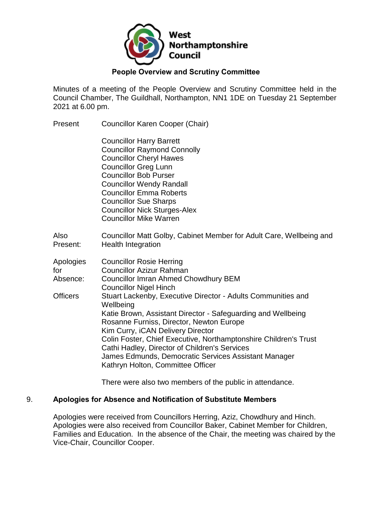

### **People Overview and Scrutiny Committee**

Minutes of a meeting of the People Overview and Scrutiny Committee held in the Council Chamber, The Guildhall, Northampton, NN1 1DE on Tuesday 21 September 2021 at 6.00 pm.

Present Councillor Karen Cooper (Chair)

Councillor Harry Barrett Councillor Raymond Connolly Councillor Cheryl Hawes Councillor Greg Lunn Councillor Bob Purser Councillor Wendy Randall Councillor Emma Roberts Councillor Sue Sharps Councillor Nick Sturges-Alex Councillor Mike Warren

Also Present: Councillor Matt Golby, Cabinet Member for Adult Care, Wellbeing and Health Integration

| Apologies | <b>Councillor Rosie Herring</b>                                           |
|-----------|---------------------------------------------------------------------------|
| for       | <b>Councillor Azizur Rahman</b>                                           |
| Absence:  | <b>Councillor Imran Ahmed Chowdhury BEM</b>                               |
|           | <b>Councillor Nigel Hinch</b>                                             |
| Officers  | Stuart Lackenby, Executive Director - Adults Communities and<br>Wellbeing |
|           | Katie Brown, Assistant Director - Safeguarding and Wellbeing              |
|           | Rosanne Furniss, Director, Newton Europe                                  |
|           | Kim Curry, iCAN Delivery Director                                         |
|           | Colin Foster, Chief Executive, Northamptonshire Children's Trust          |
|           | Cathi Hadley, Director of Children's Services                             |
|           | James Edmunds, Democratic Services Assistant Manager                      |
|           | Kathryn Holton, Committee Officer                                         |

There were also two members of the public in attendance.

### 9. **Apologies for Absence and Notification of Substitute Members**

Apologies were received from Councillors Herring, Aziz, Chowdhury and Hinch. Apologies were also received from Councillor Baker, Cabinet Member for Children, Families and Education. In the absence of the Chair, the meeting was chaired by the Vice-Chair, Councillor Cooper.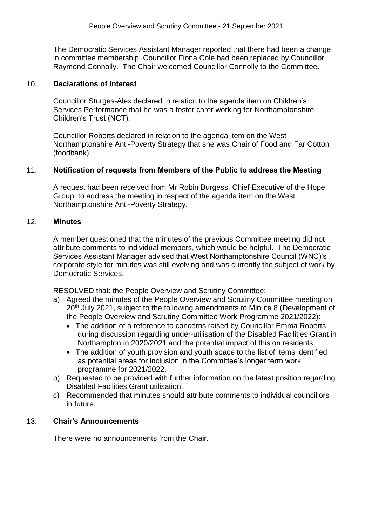The Democratic Services Assistant Manager reported that there had been a change in committee membership: Councillor Fiona Cole had been replaced by Councillor Raymond Connolly. The Chair welcomed Councillor Connolly to the Committee.

### 10. **Declarations of Interest**

Councillor Sturges-Alex declared in relation to the agenda item on Children's Services Performance that he was a foster carer working for Northamptonshire Children's Trust (NCT).

Councillor Roberts declared in relation to the agenda item on the West Northamptonshire Anti-Poverty Strategy that she was Chair of Food and Far Cotton (foodbank).

### 11. **Notification of requests from Members of the Public to address the Meeting**

A request had been received from Mr Robin Burgess, Chief Executive of the Hope Group, to address the meeting in respect of the agenda item on the West Northamptonshire Anti-Poverty Strategy.

#### 12. **Minutes**

A member questioned that the minutes of the previous Committee meeting did not attribute comments to individual members, which would be helpful. The Democratic Services Assistant Manager advised that West Northamptonshire Council (WNC)'s corporate style for minutes was still evolving and was currently the subject of work by Democratic Services.

RESOLVED that: the People Overview and Scrutiny Committee:

- a) Agreed the minutes of the People Overview and Scrutiny Committee meeting on 20<sup>th</sup> July 2021, subject to the following amendments to Minute 8 (Development of the People Overview and Scrutiny Committee Work Programme 2021/2022):
	- The addition of a reference to concerns raised by Councillor Emma Roberts during discussion regarding under-utilisation of the Disabled Facilities Grant in Northampton in 2020/2021 and the potential impact of this on residents.
	- The addition of youth provision and youth space to the list of items identified as potential areas for inclusion in the Committee's longer term work programme for 2021/2022.
- b) Requested to be provided with further information on the latest position regarding Disabled Facilities Grant utilisation.
- c) Recommended that minutes should attribute comments to individual councillors in future.

### 13. **Chair's Announcements**

There were no announcements from the Chair.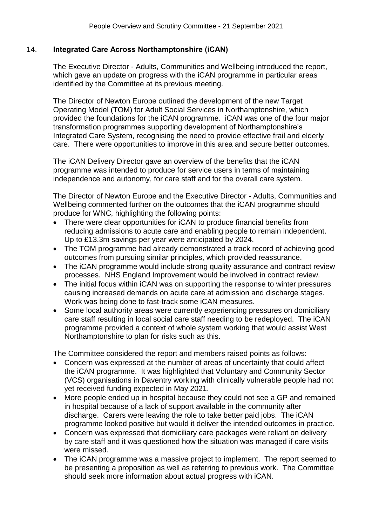### 14. **Integrated Care Across Northamptonshire (iCAN)**

The Executive Director - Adults, Communities and Wellbeing introduced the report, which gave an update on progress with the iCAN programme in particular areas identified by the Committee at its previous meeting.

The Director of Newton Europe outlined the development of the new Target Operating Model (TOM) for Adult Social Services in Northamptonshire, which provided the foundations for the iCAN programme. iCAN was one of the four major transformation programmes supporting development of Northamptonshire's Integrated Care System, recognising the need to provide effective frail and elderly care. There were opportunities to improve in this area and secure better outcomes.

The iCAN Delivery Director gave an overview of the benefits that the iCAN programme was intended to produce for service users in terms of maintaining independence and autonomy, for care staff and for the overall care system.

The Director of Newton Europe and the Executive Director - Adults, Communities and Wellbeing commented further on the outcomes that the iCAN programme should produce for WNC, highlighting the following points:

- There were clear opportunities for iCAN to produce financial benefits from reducing admissions to acute care and enabling people to remain independent. Up to £13.3m savings per year were anticipated by 2024.
- The TOM programme had already demonstrated a track record of achieving good outcomes from pursuing similar principles, which provided reassurance.
- The iCAN programme would include strong quality assurance and contract review processes. NHS England Improvement would be involved in contract review.
- The initial focus within iCAN was on supporting the response to winter pressures causing increased demands on acute care at admission and discharge stages. Work was being done to fast-track some iCAN measures.
- Some local authority areas were currently experiencing pressures on domiciliary care staff resulting in local social care staff needing to be redeployed. The iCAN programme provided a context of whole system working that would assist West Northamptonshire to plan for risks such as this.

The Committee considered the report and members raised points as follows:

- Concern was expressed at the number of areas of uncertainty that could affect the iCAN programme. It was highlighted that Voluntary and Community Sector (VCS) organisations in Daventry working with clinically vulnerable people had not yet received funding expected in May 2021.
- More people ended up in hospital because they could not see a GP and remained in hospital because of a lack of support available in the community after discharge. Carers were leaving the role to take better paid jobs. The iCAN programme looked positive but would it deliver the intended outcomes in practice.
- Concern was expressed that domiciliary care packages were reliant on delivery by care staff and it was questioned how the situation was managed if care visits were missed.
- The iCAN programme was a massive project to implement. The report seemed to be presenting a proposition as well as referring to previous work. The Committee should seek more information about actual progress with iCAN.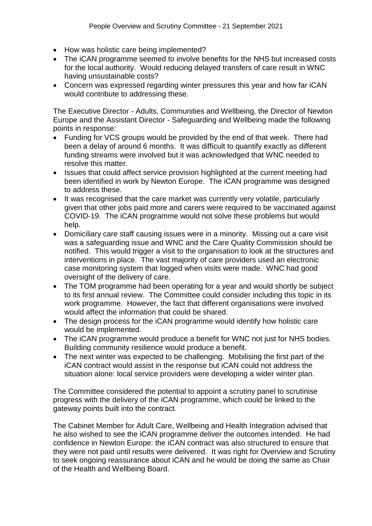- How was holistic care being implemented?
- The iCAN programme seemed to involve benefits for the NHS but increased costs for the local authority. Would reducing delayed transfers of care result in WNC having unsustainable costs?
- Concern was expressed regarding winter pressures this year and how far iCAN would contribute to addressing these.

The Executive Director - Adults, Communities and Wellbeing, the Director of Newton Europe and the Assistant Director - Safeguarding and Wellbeing made the following points in response:

- Funding for VCS groups would be provided by the end of that week. There had been a delay of around 6 months. It was difficult to quantify exactly as different funding streams were involved but it was acknowledged that WNC needed to resolve this matter.
- Issues that could affect service provision highlighted at the current meeting had been identified in work by Newton Europe. The iCAN programme was designed to address these.
- It was recognised that the care market was currently very volatile, particularly given that other jobs paid more and carers were required to be vaccinated against COVID-19. The iCAN programme would not solve these problems but would help.
- Domiciliary care staff causing issues were in a minority. Missing out a care visit was a safeguarding issue and WNC and the Care Quality Commission should be notified. This would trigger a visit to the organisation to look at the structures and interventions in place. The vast majority of care providers used an electronic case monitoring system that logged when visits were made. WNC had good oversight of the delivery of care.
- The TOM programme had been operating for a year and would shortly be subject to its first annual review. The Committee could consider including this topic in its work programme. However, the fact that different organisations were involved would affect the information that could be shared.
- The design process for the iCAN programme would identify how holistic care would be implemented.
- The iCAN programme would produce a benefit for WNC not just for NHS bodies. Building community resilience would produce a benefit.
- The next winter was expected to be challenging. Mobilising the first part of the iCAN contract would assist in the response but iCAN could not address the situation alone: local service providers were developing a wider winter plan.

The Committee considered the potential to appoint a scrutiny panel to scrutinise progress with the delivery of the iCAN programme, which could be linked to the gateway points built into the contract.

The Cabinet Member for Adult Care, Wellbeing and Health Integration advised that he also wished to see the iCAN programme deliver the outcomes intended. He had confidence in Newton Europe: the iCAN contract was also structured to ensure that they were not paid until results were delivered. It was right for Overview and Scrutiny to seek ongoing reassurance about iCAN and he would be doing the same as Chair of the Health and Wellbeing Board.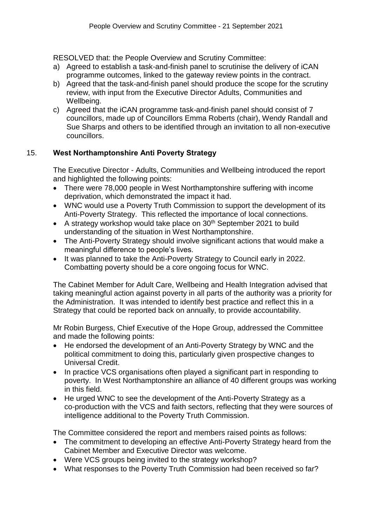RESOLVED that: the People Overview and Scrutiny Committee:

- a) Agreed to establish a task-and-finish panel to scrutinise the delivery of iCAN programme outcomes, linked to the gateway review points in the contract.
- b) Agreed that the task-and-finish panel should produce the scope for the scrutiny review, with input from the Executive Director Adults, Communities and Wellbeing.
- c) Agreed that the iCAN programme task-and-finish panel should consist of 7 councillors, made up of Councillors Emma Roberts (chair), Wendy Randall and Sue Sharps and others to be identified through an invitation to all non-executive councillors.

# 15. **West Northamptonshire Anti Poverty Strategy**

The Executive Director - Adults, Communities and Wellbeing introduced the report and highlighted the following points:

- There were 78,000 people in West Northamptonshire suffering with income deprivation, which demonstrated the impact it had.
- WNC would use a Poverty Truth Commission to support the development of its Anti-Poverty Strategy. This reflected the importance of local connections.
- A strategy workshop would take place on  $30<sup>th</sup>$  September 2021 to build understanding of the situation in West Northamptonshire.
- The Anti-Poverty Strategy should involve significant actions that would make a meaningful difference to people's lives.
- It was planned to take the Anti-Poverty Strategy to Council early in 2022. Combatting poverty should be a core ongoing focus for WNC.

The Cabinet Member for Adult Care, Wellbeing and Health Integration advised that taking meaningful action against poverty in all parts of the authority was a priority for the Administration. It was intended to identify best practice and reflect this in a Strategy that could be reported back on annually, to provide accountability.

Mr Robin Burgess, Chief Executive of the Hope Group, addressed the Committee and made the following points:

- He endorsed the development of an Anti-Poverty Strategy by WNC and the political commitment to doing this, particularly given prospective changes to Universal Credit.
- In practice VCS organisations often played a significant part in responding to poverty. In West Northamptonshire an alliance of 40 different groups was working in this field.
- He urged WNC to see the development of the Anti-Poverty Strategy as a co-production with the VCS and faith sectors, reflecting that they were sources of intelligence additional to the Poverty Truth Commission.

The Committee considered the report and members raised points as follows:

- The commitment to developing an effective Anti-Poverty Strategy heard from the Cabinet Member and Executive Director was welcome.
- Were VCS groups being invited to the strategy workshop?
- What responses to the Poverty Truth Commission had been received so far?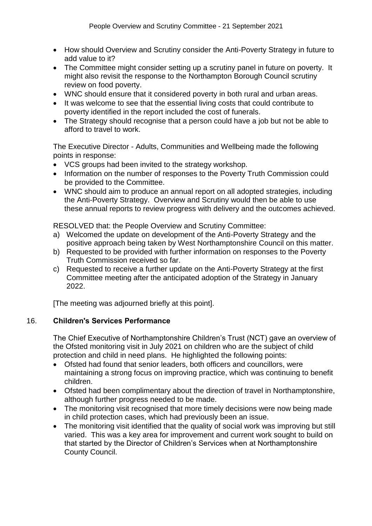- How should Overview and Scrutiny consider the Anti-Poverty Strategy in future to add value to it?
- The Committee might consider setting up a scrutiny panel in future on poverty. It might also revisit the response to the Northampton Borough Council scrutiny review on food poverty.
- WNC should ensure that it considered poverty in both rural and urban areas.
- It was welcome to see that the essential living costs that could contribute to poverty identified in the report included the cost of funerals.
- The Strategy should recognise that a person could have a job but not be able to afford to travel to work.

The Executive Director - Adults, Communities and Wellbeing made the following points in response:

- VCS groups had been invited to the strategy workshop.
- Information on the number of responses to the Poverty Truth Commission could be provided to the Committee.
- WNC should aim to produce an annual report on all adopted strategies, including the Anti-Poverty Strategy. Overview and Scrutiny would then be able to use these annual reports to review progress with delivery and the outcomes achieved.

RESOLVED that: the People Overview and Scrutiny Committee:

- a) Welcomed the update on development of the Anti-Poverty Strategy and the positive approach being taken by West Northamptonshire Council on this matter.
- b) Requested to be provided with further information on responses to the Poverty Truth Commission received so far.
- c) Requested to receive a further update on the Anti-Poverty Strategy at the first Committee meeting after the anticipated adoption of the Strategy in January 2022.

[The meeting was adjourned briefly at this point].

## 16. **Children's Services Performance**

The Chief Executive of Northamptonshire Children's Trust (NCT) gave an overview of the Ofsted monitoring visit in July 2021 on children who are the subject of child protection and child in need plans. He highlighted the following points:

- Ofsted had found that senior leaders, both officers and councillors, were maintaining a strong focus on improving practice, which was continuing to benefit children.
- Ofsted had been complimentary about the direction of travel in Northamptonshire, although further progress needed to be made.
- The monitoring visit recognised that more timely decisions were now being made in child protection cases, which had previously been an issue.
- The monitoring visit identified that the quality of social work was improving but still varied. This was a key area for improvement and current work sought to build on that started by the Director of Children's Services when at Northamptonshire County Council.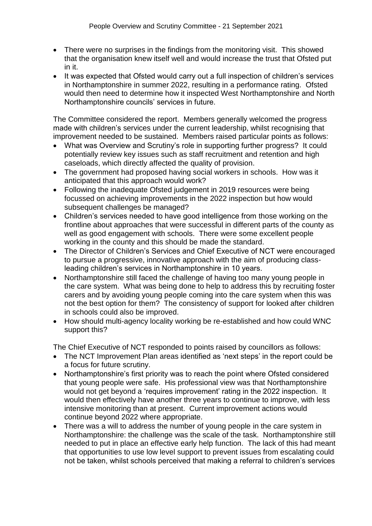- There were no surprises in the findings from the monitoring visit. This showed that the organisation knew itself well and would increase the trust that Ofsted put in it.
- It was expected that Ofsted would carry out a full inspection of children's services in Northamptonshire in summer 2022, resulting in a performance rating. Ofsted would then need to determine how it inspected West Northamptonshire and North Northamptonshire councils' services in future.

The Committee considered the report. Members generally welcomed the progress made with children's services under the current leadership, whilst recognising that improvement needed to be sustained. Members raised particular points as follows:

- What was Overview and Scrutiny's role in supporting further progress? It could potentially review key issues such as staff recruitment and retention and high caseloads, which directly affected the quality of provision.
- The government had proposed having social workers in schools. How was it anticipated that this approach would work?
- Following the inadequate Ofsted judgement in 2019 resources were being focussed on achieving improvements in the 2022 inspection but how would subsequent challenges be managed?
- Children's services needed to have good intelligence from those working on the frontline about approaches that were successful in different parts of the county as well as good engagement with schools. There were some excellent people working in the county and this should be made the standard.
- The Director of Children's Services and Chief Executive of NCT were encouraged to pursue a progressive, innovative approach with the aim of producing classleading children's services in Northamptonshire in 10 years.
- Northamptonshire still faced the challenge of having too many young people in the care system. What was being done to help to address this by recruiting foster carers and by avoiding young people coming into the care system when this was not the best option for them? The consistency of support for looked after children in schools could also be improved.
- How should multi-agency locality working be re-established and how could WNC support this?

The Chief Executive of NCT responded to points raised by councillors as follows:

- The NCT Improvement Plan areas identified as 'next steps' in the report could be a focus for future scrutiny.
- Northamptonshire's first priority was to reach the point where Ofsted considered that young people were safe. His professional view was that Northamptonshire would not get beyond a 'requires improvement' rating in the 2022 inspection. It would then effectively have another three years to continue to improve, with less intensive monitoring than at present. Current improvement actions would continue beyond 2022 where appropriate.
- There was a will to address the number of young people in the care system in Northamptonshire: the challenge was the scale of the task. Northamptonshire still needed to put in place an effective early help function. The lack of this had meant that opportunities to use low level support to prevent issues from escalating could not be taken, whilst schools perceived that making a referral to children's services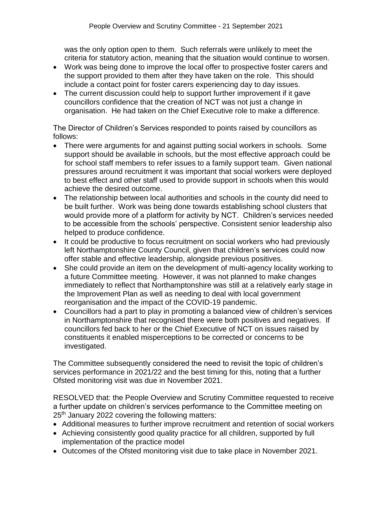was the only option open to them. Such referrals were unlikely to meet the criteria for statutory action, meaning that the situation would continue to worsen.

- Work was being done to improve the local offer to prospective foster carers and the support provided to them after they have taken on the role. This should include a contact point for foster carers experiencing day to day issues.
- The current discussion could help to support further improvement if it gave councillors confidence that the creation of NCT was not just a change in organisation. He had taken on the Chief Executive role to make a difference.

The Director of Children's Services responded to points raised by councillors as follows:

- There were arguments for and against putting social workers in schools. Some support should be available in schools, but the most effective approach could be for school staff members to refer issues to a family support team. Given national pressures around recruitment it was important that social workers were deployed to best effect and other staff used to provide support in schools when this would achieve the desired outcome.
- The relationship between local authorities and schools in the county did need to be built further. Work was being done towards establishing school clusters that would provide more of a platform for activity by NCT. Children's services needed to be accessible from the schools' perspective. Consistent senior leadership also helped to produce confidence.
- It could be productive to focus recruitment on social workers who had previously left Northamptonshire County Council, given that children's services could now offer stable and effective leadership, alongside previous positives.
- She could provide an item on the development of multi-agency locality working to a future Committee meeting. However, it was not planned to make changes immediately to reflect that Northamptonshire was still at a relatively early stage in the Improvement Plan as well as needing to deal with local government reorganisation and the impact of the COVID-19 pandemic.
- Councillors had a part to play in promoting a balanced view of children's services in Northamptonshire that recognised there were both positives and negatives. If councillors fed back to her or the Chief Executive of NCT on issues raised by constituents it enabled misperceptions to be corrected or concerns to be investigated.

The Committee subsequently considered the need to revisit the topic of children's services performance in 2021/22 and the best timing for this, noting that a further Ofsted monitoring visit was due in November 2021.

RESOLVED that: the People Overview and Scrutiny Committee requested to receive a further update on children's services performance to the Committee meeting on 25<sup>th</sup> January 2022 covering the following matters:

- Additional measures to further improve recruitment and retention of social workers
- Achieving consistently good quality practice for all children, supported by full implementation of the practice model
- Outcomes of the Ofsted monitoring visit due to take place in November 2021.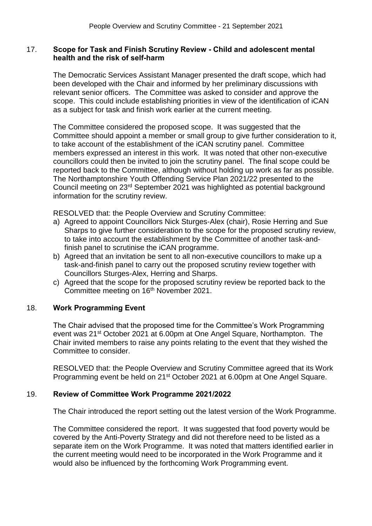### 17. **Scope for Task and Finish Scrutiny Review - Child and adolescent mental health and the risk of self-harm**

The Democratic Services Assistant Manager presented the draft scope, which had been developed with the Chair and informed by her preliminary discussions with relevant senior officers. The Committee was asked to consider and approve the scope. This could include establishing priorities in view of the identification of iCAN as a subject for task and finish work earlier at the current meeting.

The Committee considered the proposed scope. It was suggested that the Committee should appoint a member or small group to give further consideration to it, to take account of the establishment of the iCAN scrutiny panel. Committee members expressed an interest in this work. It was noted that other non-executive councillors could then be invited to join the scrutiny panel. The final scope could be reported back to the Committee, although without holding up work as far as possible. The Northamptonshire Youth Offending Service Plan 2021/22 presented to the Council meeting on 23rd September 2021 was highlighted as potential background information for the scrutiny review.

RESOLVED that: the People Overview and Scrutiny Committee:

- a) Agreed to appoint Councillors Nick Sturges-Alex (chair), Rosie Herring and Sue Sharps to give further consideration to the scope for the proposed scrutiny review, to take into account the establishment by the Committee of another task-andfinish panel to scrutinise the iCAN programme.
- b) Agreed that an invitation be sent to all non-executive councillors to make up a task-and-finish panel to carry out the proposed scrutiny review together with Councillors Sturges-Alex, Herring and Sharps.
- c) Agreed that the scope for the proposed scrutiny review be reported back to the Committee meeting on 16<sup>th</sup> November 2021.

## 18. **Work Programming Event**

The Chair advised that the proposed time for the Committee's Work Programming event was 21<sup>st</sup> October 2021 at 6.00pm at One Angel Square, Northampton. The Chair invited members to raise any points relating to the event that they wished the Committee to consider.

RESOLVED that: the People Overview and Scrutiny Committee agreed that its Work Programming event be held on 21<sup>st</sup> October 2021 at 6.00pm at One Angel Square.

## 19. **Review of Committee Work Programme 2021/2022**

The Chair introduced the report setting out the latest version of the Work Programme.

The Committee considered the report. It was suggested that food poverty would be covered by the Anti-Poverty Strategy and did not therefore need to be listed as a separate item on the Work Programme. It was noted that matters identified earlier in the current meeting would need to be incorporated in the Work Programme and it would also be influenced by the forthcoming Work Programming event.